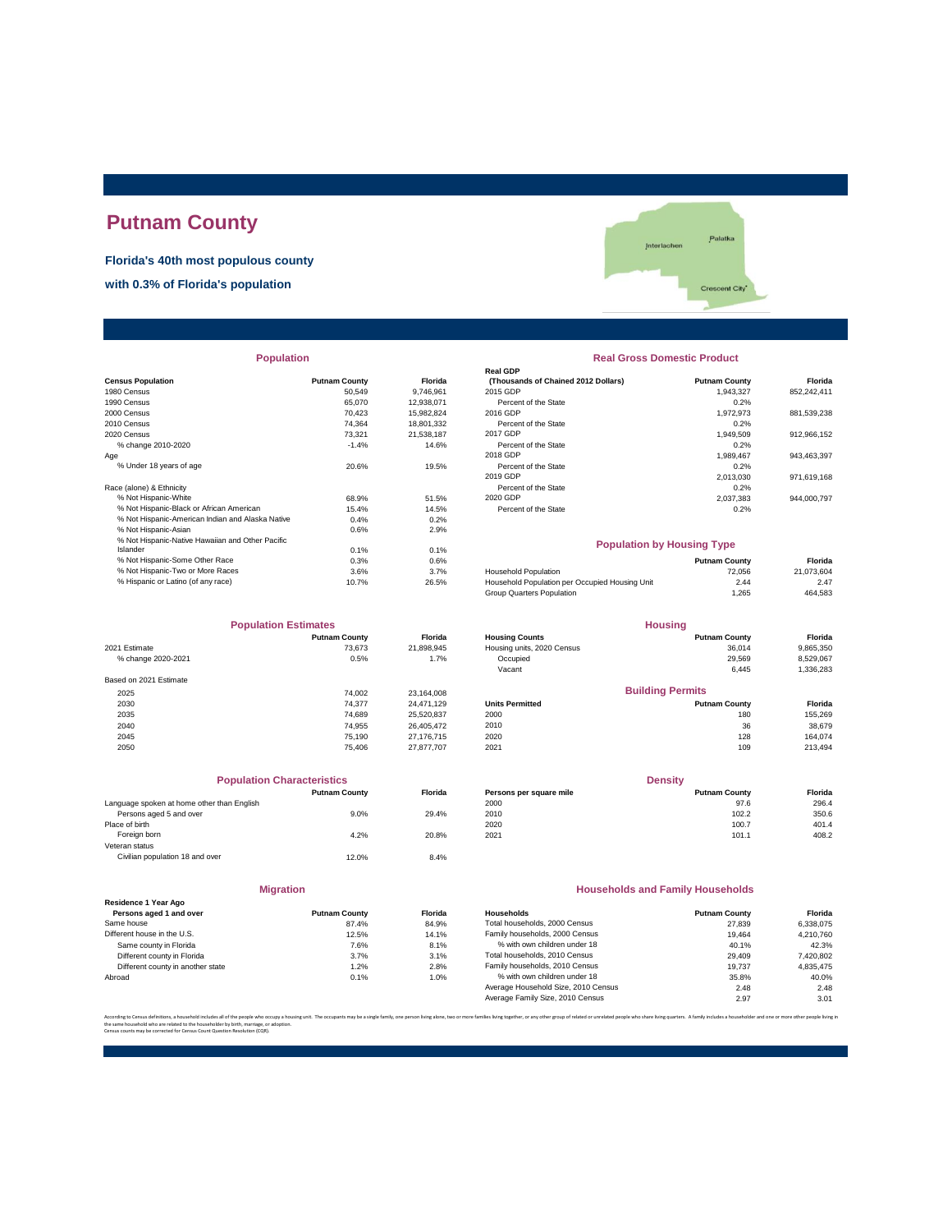# **Putnam County**

**Florida's 40th most populous county**

**with 0.3% of Florida's population**



|                                                  |                      |            | Real GDP                                       |                      |             |
|--------------------------------------------------|----------------------|------------|------------------------------------------------|----------------------|-------------|
| <b>Census Population</b>                         | <b>Putnam County</b> | Florida    | (Thousands of Chained 2012 Dollars)            | <b>Putnam County</b> | Florida     |
| 1980 Census                                      | 50,549               | 9,746,961  | 2015 GDP                                       | 1,943,327            | 852,242,411 |
| 1990 Census                                      | 65.070               | 12,938,071 | Percent of the State                           | 0.2%                 |             |
| 2000 Census                                      | 70.423               | 15,982,824 | 2016 GDP                                       | 1,972,973            | 881,539,238 |
| 2010 Census                                      | 74.364               | 18,801,332 | Percent of the State                           | 0.2%                 |             |
| 2020 Census                                      | 73.321               | 21.538.187 | 2017 GDP                                       | 1,949,509            | 912,966,152 |
| % change 2010-2020                               | $-1.4%$              | 14.6%      | Percent of the State                           | 0.2%                 |             |
| Age                                              |                      |            | 2018 GDP                                       | 1,989,467            | 943,463,397 |
| % Under 18 years of age                          | 20.6%                | 19.5%      | Percent of the State                           | 0.2%                 |             |
|                                                  |                      |            | 2019 GDP                                       | 2.013.030            | 971,619,168 |
| Race (alone) & Ethnicity                         |                      |            | Percent of the State                           | 0.2%                 |             |
| % Not Hispanic-White                             | 68.9%                | 51.5%      | 2020 GDP                                       | 2,037,383            | 944,000,797 |
| % Not Hispanic-Black or African American         | 15.4%                | 14.5%      | Percent of the State                           | 0.2%                 |             |
| % Not Hispanic-American Indian and Alaska Native | 0.4%                 | 0.2%       |                                                |                      |             |
| % Not Hispanic-Asian                             | 0.6%                 | 2.9%       |                                                |                      |             |
| % Not Hispanic-Native Hawaiian and Other Pacific |                      |            | <b>Population by Housing Type</b>              |                      |             |
| Islander                                         | 0.1%                 | 0.1%       |                                                |                      |             |
| % Not Hispanic-Some Other Race                   | 0.3%                 | 0.6%       |                                                | <b>Putnam County</b> | Florida     |
| % Not Hispanic-Two or More Races                 | 3.6%                 | 3.7%       | <b>Household Population</b>                    | 72,056               | 21,073,604  |
| % Hispanic or Latino (of any race)               | 10.7%                | 26.5%      | Household Population per Occupied Housing Unit | 2.44                 | 2.47        |
|                                                  |                      |            |                                                |                      |             |

| <b>Population Estimates</b> |                      | <b>Housing</b> |                            |                         |           |
|-----------------------------|----------------------|----------------|----------------------------|-------------------------|-----------|
|                             | <b>Putnam County</b> | <b>Florida</b> | <b>Housing Counts</b>      | <b>Putnam County</b>    | Florida   |
| 2021 Estimate               | 73.673               | 21,898,945     | Housing units, 2020 Census | 36,014                  | 9,865,350 |
| % change 2020-2021          | 0.5%                 | 1.7%           | Occupied                   | 29,569                  | 8,529,067 |
|                             |                      |                | Vacant                     | 6,445                   | 1,336,283 |
| Based on 2021 Estimate      |                      |                |                            |                         |           |
| 2025                        | 74.002               | 23,164,008     |                            | <b>Building Permits</b> |           |
| 2030                        | 74.377               | 24.471.129     | <b>Units Permitted</b>     | <b>Putnam County</b>    | Florida   |
| 2035                        | 74.689               | 25,520,837     | 2000                       | 180                     | 155,269   |
| 2040                        | 74.955               | 26.405.472     | 2010                       | 36                      | 38,679    |
| 2045                        | 75,190               | 27,176,715     | 2020                       | 128                     | 164.074   |
| 2050                        | 75.406               | 27,877,707     | 2021                       | 109                     | 213,494   |

|                                            | <b>Population Characteristics</b> |                |
|--------------------------------------------|-----------------------------------|----------------|
|                                            | <b>Putnam County</b>              | <b>Florida</b> |
| Language spoken at home other than English |                                   |                |
| Persons aged 5 and over                    | 9.0%                              | 29.4%          |
| Place of birth                             |                                   |                |
| Foreign born                               | 4.2%                              | 20.8%          |
| Veteran status                             |                                   |                |
| Civilian population 18 and over            | 12.0%                             | 8.4%           |
|                                            |                                   |                |

### **Migration**

| <b>Putnam County</b> |         |
|----------------------|---------|
|                      |         |
|                      | Florida |
| 87.4%                | 84.9%   |
| 12.5%                | 14.1%   |
| 7.6%                 | 8.1%    |
| 3.7%                 | 3.1%    |
| 1.2%                 | 2.8%    |
| 0.1%                 | 1.0%    |
|                      |         |

# **Population Real Gross Domestic Product**

| sus Population                                   | <b>Putnam County</b> | <b>Florida</b> | (Thousands of Chained 2012 Dollars) | <b>Putnam County</b> | <b>Florida</b> |
|--------------------------------------------------|----------------------|----------------|-------------------------------------|----------------------|----------------|
| 0 Census                                         | 50.549               | 9.746.961      | 2015 GDP                            | 1.943.327            | 852.242.411    |
| 0 Census                                         | 65.070               | 12.938.071     | Percent of the State                | 0.2%                 |                |
| 0 Census                                         | 70.423               | 15.982.824     | 2016 GDP                            | 1.972.973            | 881.539.238    |
| 0 Census                                         | 74.364               | 18.801.332     | Percent of the State                | 0.2%                 |                |
| 0 Census                                         | 73.321               | 21.538.187     | 2017 GDP                            | 1.949.509            | 912.966.152    |
| % change 2010-2020                               | $-1.4%$              | 14.6%          | Percent of the State                | 0.2%                 |                |
|                                                  |                      |                | 2018 GDP                            | 1.989.467            | 943.463.397    |
| % Under 18 vears of age                          | 20.6%                | 19.5%          | Percent of the State                | 0.2%                 |                |
|                                                  |                      |                | 2019 GDP                            | 2.013.030            | 971.619.168    |
| e (alone) & Ethnicity                            |                      |                | Percent of the State                | 0.2%                 |                |
| % Not Hispanic-White                             | 68.9%                | 51.5%          | 2020 GDP                            | 2.037.383            | 944.000.797    |
| % Not Hispanic-Black or African American         | 15.4%                | 14.5%          | Percent of the State                | 0.2%                 |                |
| % Not Hiepanic American Indian and Algeka Native | 0.49                 | 0.291          |                                     |                      |                |

### **Population by Housing Type**

| 21.073.604 |
|------------|
| 2.47       |
| 464.583    |
|            |

| <b>Population Estimates</b> |                      | <b>Housing</b> |                            |                         |                |
|-----------------------------|----------------------|----------------|----------------------------|-------------------------|----------------|
|                             | <b>Putnam County</b> | <b>Florida</b> | <b>Housing Counts</b>      | <b>Putnam County</b>    | Florida        |
| 2021 Estimate               | 73.673               | 21.898.945     | Housing units, 2020 Census | 36.014                  | 9,865,350      |
| % change 2020-2021          | 0.5%                 | 1.7%           | Occupied                   | 29.569                  | 8,529,067      |
|                             |                      |                | Vacant                     | 6.445                   | 1,336,283      |
| Based on 2021 Estimate      |                      |                |                            |                         |                |
| 2025                        | 74.002               | 23.164.008     |                            | <b>Building Permits</b> |                |
| 2030                        | 74.377               | 24.471.129     | <b>Units Permitted</b>     | <b>Putnam County</b>    | <b>Florida</b> |
| 2035                        | 74.689               | 25,520,837     | 2000                       | 180                     | 155,269        |
| 2040                        | 74 955               | 26 405 472     | 2010                       | 36                      | 38.679         |

| <b>Population Characteristics</b>          |                      |                | <b>Density</b>          |                      |         |
|--------------------------------------------|----------------------|----------------|-------------------------|----------------------|---------|
|                                            | <b>Putnam County</b> | <b>Florida</b> | Persons per square mile | <b>Putnam County</b> | Florida |
| Language spoken at home other than English |                      |                | 2000                    | 97.6                 | 296.4   |
| Persons aged 5 and over                    | $9.0\%$              | 29.4%          | 2010                    | 102.2                | 350.6   |
| Place of birth                             |                      |                | 2020                    | 100.7                | 401.4   |
| Foreign born                               | 4.2%                 | 20.8%          | 2021                    | 101.1                | 408.2   |

### **Households and Family Households**

| Residence 1 Year Ago              |                      |                |                                     |                      |           |
|-----------------------------------|----------------------|----------------|-------------------------------------|----------------------|-----------|
| Persons aged 1 and over           | <b>Putnam County</b> | <b>Florida</b> | Households                          | <b>Putnam County</b> | Florida   |
| Same house                        | 87.4%                | 84.9%          | Total households, 2000 Census       | 27,839               | 6.338.075 |
| Different house in the U.S.       | 12.5%                | 14.1%          | Family households, 2000 Census      | 19.464               | 4.210.760 |
| Same county in Florida            | 7.6%                 | 8.1%           | % with own children under 18        | 40.1%                | 42.3%     |
| Different county in Florida       | 3.7%                 | 3.1%           | Total households, 2010 Census       | 29,409               | 7,420,802 |
| Different county in another state | 1.2%                 | 2.8%           | Family households, 2010 Census      | 19.737               | 4.835.475 |
| Abroad                            | 0.1%                 | 1.0%           | % with own children under 18        | 35.8%                | 40.0%     |
|                                   |                      |                | Average Household Size, 2010 Census | 2.48                 | 2.48      |
|                                   |                      |                | Average Family Size, 2010 Census    | 2.97                 | 3.01      |

.<br>ilies living together, or any other group of related or unrelated people who share living quarters. A family includes a householder and one or more other pe the same household who are related to the householder by birth, marriage, or adoption. Census counts may be corrected for Census Count Question Resolution (CQR).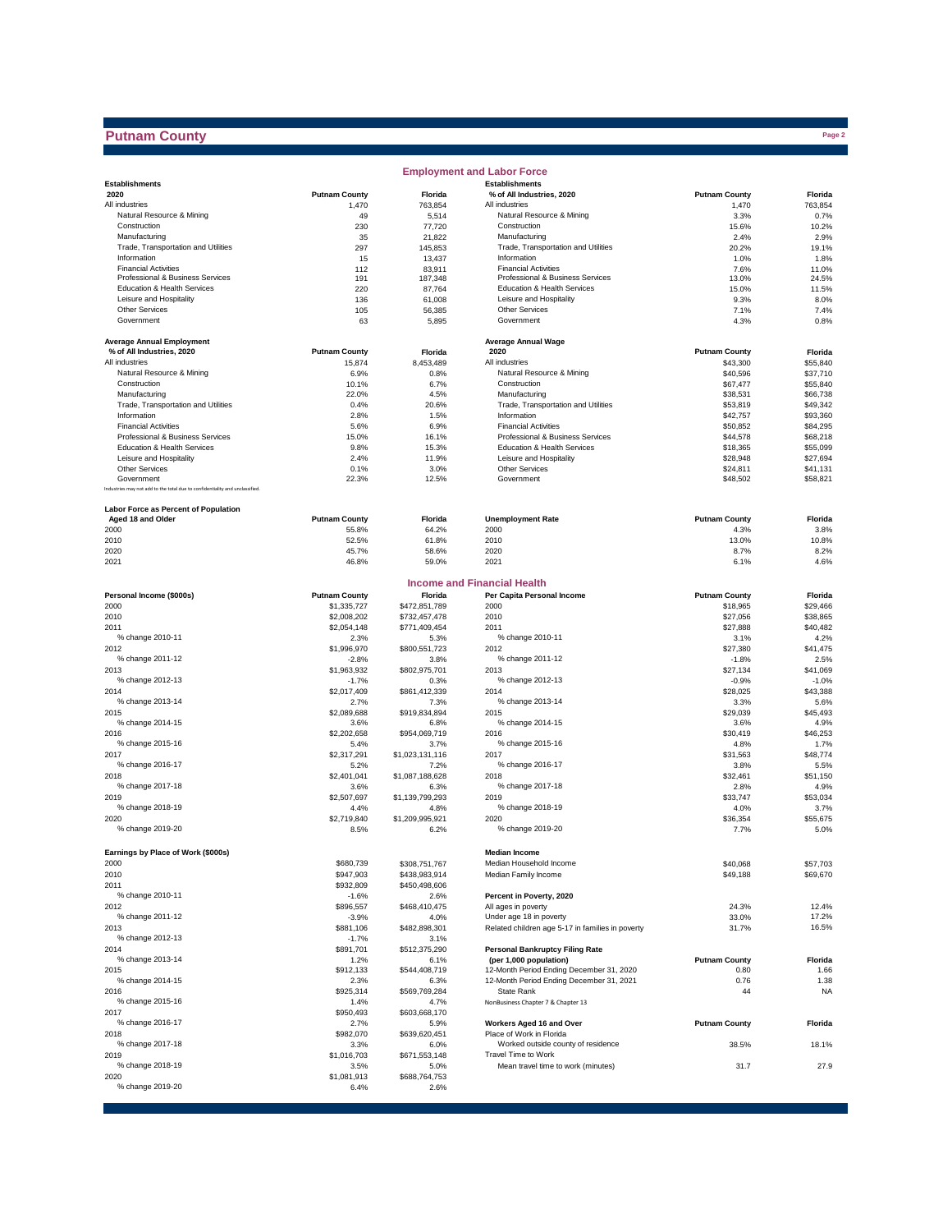## **Putnam County**

|                                                                              |                      |                         | <b>Employment and Labor Force</b>                               |                      |                      |
|------------------------------------------------------------------------------|----------------------|-------------------------|-----------------------------------------------------------------|----------------------|----------------------|
| <b>Establishments</b>                                                        |                      |                         | <b>Establishments</b>                                           |                      |                      |
| 2020                                                                         | <b>Putnam County</b> | Florida                 | % of All Industries, 2020                                       | <b>Putnam County</b> | Florida              |
| All industries<br>Natural Resource & Mining                                  | 1,470<br>49          | 763,854<br>5,514        | All industries<br>Natural Resource & Mining                     | 1,470<br>3.3%        | 763,854<br>0.7%      |
| Construction                                                                 | 230                  | 77,720                  | Construction                                                    | 15.6%                | 10.2%                |
| Manufacturing                                                                | 35                   | 21,822                  | Manufacturing                                                   | 2.4%                 | 2.9%                 |
| Trade, Transportation and Utilities                                          | 297                  | 145,853                 | Trade, Transportation and Utilities                             | 20.2%                | 19.1%                |
| Information                                                                  | 15                   | 13,437                  | Information                                                     | 1.0%                 | 1.8%                 |
| <b>Financial Activities</b>                                                  | 112                  | 83,911                  | <b>Financial Activities</b>                                     | 7.6%                 | 11.0%                |
| Professional & Business Services                                             | 191                  | 187,348                 | Professional & Business Services                                | 13.0%                | 24.5%                |
| Education & Health Services<br>Leisure and Hospitality                       | 220                  | 87,764                  | Education & Health Services<br>Leisure and Hospitality          | 15.0%                | 11.5%                |
| <b>Other Services</b>                                                        | 136<br>105           | 61,008<br>56,385        | Other Services                                                  | 9.3%<br>7.1%         | 8.0%<br>7.4%         |
| Government                                                                   | 63                   | 5,895                   | Government                                                      | 4.3%                 | 0.8%                 |
|                                                                              |                      |                         |                                                                 |                      |                      |
| <b>Average Annual Employment</b>                                             |                      |                         | <b>Average Annual Wage</b>                                      |                      |                      |
| % of All Industries, 2020                                                    | <b>Putnam County</b> | Florida                 | 2020                                                            | <b>Putnam County</b> | Florida              |
| All industries                                                               | 15,874               | 8,453,489               | All industries                                                  | \$43,300             | \$55,840             |
| Natural Resource & Mining                                                    | 6.9%                 | 0.8%                    | Natural Resource & Mining                                       | \$40,596             | \$37,710             |
| Construction                                                                 | 10.1%                | 6.7%                    | Construction                                                    | \$67,477             | \$55,840             |
| Manufacturing                                                                | 22.0%                | 4.5%                    | Manufacturing                                                   | \$38,531             | \$66,738             |
| Trade, Transportation and Utilities                                          | 0.4%                 | 20.6%                   | Trade, Transportation and Utilities                             | \$53,819             | \$49,342             |
| Information                                                                  | 2.8%                 | 1.5%                    | Information                                                     | \$42,757             | \$93,360             |
| <b>Financial Activities</b><br>Professional & Business Services              | 5.6%                 | 6.9%                    | <b>Financial Activities</b><br>Professional & Business Services | \$50,852             | \$84,295             |
| Education & Health Services                                                  | 15.0%<br>9.8%        | 16.1%                   | Education & Health Services                                     | \$44,578<br>\$18,365 | \$68,218<br>\$55,099 |
| Leisure and Hospitality                                                      | 2.4%                 | 15.3%<br>11.9%          | Leisure and Hospitality                                         | \$28,948             | \$27,694             |
| <b>Other Services</b>                                                        | 0.1%                 | 3.0%                    | <b>Other Services</b>                                           | \$24,811             | \$41,131             |
| Government                                                                   | 22.3%                | 12.5%                   | Government                                                      | \$48,502             | \$58,821             |
| Industries may not add to the total due to confidentiality and unclassified. |                      |                         |                                                                 |                      |                      |
| <b>Labor Force as Percent of Population</b>                                  |                      |                         |                                                                 |                      |                      |
| Aged 18 and Older                                                            | <b>Putnam County</b> | Florida                 | <b>Unemployment Rate</b>                                        | <b>Putnam County</b> | Florida              |
| 2000                                                                         | 55.8%                | 64.2%                   | 2000                                                            | 4.3%                 | 3.8%                 |
| 2010                                                                         | 52.5%                | 61.8%                   | 2010                                                            | 13.0%                | 10.8%                |
| 2020                                                                         | 45.7%                | 58.6%                   | 2020                                                            | 8.7%                 | 8.2%                 |
| 2021                                                                         | 46.8%                | 59.0%                   | 2021                                                            | 6.1%                 | 4.6%                 |
|                                                                              |                      |                         | Income and Financial Health                                     |                      |                      |
| Personal Income (\$000s)                                                     | <b>Putnam County</b> | Florida                 | Per Capita Personal Income                                      | <b>Putnam County</b> | Florida              |
| 2000                                                                         | \$1,335,727          | \$472,851,789           | 2000                                                            | \$18,965             | \$29,466             |
| 2010                                                                         | \$2,008,202          | \$732,457,478           | 2010                                                            | \$27,056             | \$38,865             |
| 2011<br>% change 2010-11                                                     | \$2,054,148<br>2.3%  | \$771,409,454           | 2011<br>% change 2010-11                                        | \$27,888             | \$40,482<br>4.2%     |
| 2012                                                                         | \$1,996,970          | 5.3%<br>\$800,551,723   | 2012                                                            | 3.1%<br>\$27,380     | \$41,475             |
| % change 2011-12                                                             | $-2.8%$              | 3.8%                    | % change 2011-12                                                | $-1.8%$              | 2.5%                 |
| 2013                                                                         | \$1,963,932          | \$802,975,701           | 2013                                                            | \$27,134             | \$41,069             |
| % change 2012-13                                                             | $-1.7%$              | 0.3%                    | % change 2012-13                                                | $-0.9%$              | $-1.0%$              |
| 2014                                                                         | \$2,017,409          | \$861,412,339           | 2014                                                            | \$28,025             | \$43,388             |
| % change 2013-14                                                             | 2.7%                 | 7.3%                    | % change 2013-14                                                | 3.3%                 | 5.6%                 |
| 2015                                                                         | \$2,089,688          | \$919,834,894           | 2015                                                            | \$29,039             | \$45,493             |
| % change 2014-15                                                             | 3.6%                 | 6.8%                    | % change 2014-15                                                | 3.6%                 | 4.9%                 |
| 2016                                                                         | \$2,202,658          | \$954,069,719           | 2016                                                            | \$30,419             | \$46,253             |
| % change 2015-16                                                             | 5.4%                 | 3.7%                    | % change 2015-16                                                | 4.8%                 | 1.7%                 |
| 2017                                                                         | \$2,317,291          | \$1,023,131,116         | 2017                                                            | \$31,563             | \$48,774             |
| % change 2016-17                                                             | 5.2%                 | 7.2%                    | % change 2016-17                                                | 3.8%                 | 5.5%                 |
| 2018                                                                         | \$2,401,041          | \$1,087,188,628         | 2018                                                            | \$32,461             | \$51,150             |
| % change 2017-18                                                             | 3.6%                 | 6.3%                    | % change 2017-18                                                | 2.8%                 | 4.9%                 |
| 2019<br>% change 2018-19                                                     | \$2,507,697          | \$1,139,799,293         | 2019<br>% change 2018-19                                        | \$33,747             | \$53,034             |
| 2020                                                                         | 4.4%<br>\$2,719,840  | 4.8%<br>\$1,209,995,921 | 2020                                                            | 4.0%<br>\$36,354     | 3.7%<br>\$55,675     |
| % change 2019-20                                                             | 8.5%                 | 6.2%                    | % change 2019-20                                                | 7.7%                 | 5.0%                 |
|                                                                              |                      |                         |                                                                 |                      |                      |
| Earnings by Place of Work (\$000s)<br>2000                                   | \$680,739            | \$308,751,767           | <b>Median Income</b><br>Median Household Income                 | \$40,068             | \$57,703             |
| 2010                                                                         | \$947,903            | \$438,983,914           | Median Family Income                                            | \$49,188             | \$69,670             |
| 2011                                                                         | \$932,809            | \$450,498,606           |                                                                 |                      |                      |
| % change 2010-11                                                             | $-1.6%$              | 2.6%                    | Percent in Poverty, 2020                                        |                      |                      |
| 2012                                                                         | \$896,557            | \$468,410,475           | All ages in poverty                                             | 24.3%                | 12.4%                |
| % change 2011-12                                                             | $-3.9%$              | 4.0%                    | Under age 18 in poverty                                         | 33.0%                | 17.2%                |
| 2013                                                                         | \$881,106            | \$482,898,301           | Related children age 5-17 in families in poverty                | 31.7%                | 16.5%                |
| % change 2012-13                                                             | $-1.7%$              | 3.1%                    |                                                                 |                      |                      |
| 2014                                                                         | \$891,701            | \$512,375,290           | <b>Personal Bankruptcy Filing Rate</b>                          |                      |                      |
| % change 2013-14                                                             | 1.2%                 | 6.1%                    | (per 1,000 population)                                          | <b>Putnam County</b> | Florida              |
| 2015                                                                         | \$912,133            | \$544,408,719           | 12-Month Period Ending December 31, 2020                        | 0.80                 | 1.66                 |
| % change 2014-15                                                             | 2.3%                 | 6.3%                    | 12-Month Period Ending December 31, 2021                        | 0.76                 | 1.38                 |
| 2016                                                                         | \$925,314            | \$569,769,284           | State Rank                                                      | 44                   | <b>NA</b>            |
| % change 2015-16                                                             | 1.4%                 | 4.7%                    | NonBusiness Chapter 7 & Chapter 13                              |                      |                      |
| 2017                                                                         | \$950,493            | \$603,668,170           |                                                                 |                      |                      |
| % change 2016-17                                                             | 2.7%                 | 5.9%                    | Workers Aged 16 and Over                                        | <b>Putnam County</b> | Florida              |
| 2018                                                                         | \$982,070            | \$639,620,451           | Place of Work in Florida                                        |                      |                      |
| % change 2017-18                                                             | 3.3%                 | 6.0%                    | Worked outside county of residence<br>Travel Time to Work       | 38.5%                | 18.1%                |
| 2019<br>% change 2018-19                                                     | \$1,016,703          | \$671,553,148           | Mean travel time to work (minutes)                              | 31.7                 | 27.9                 |
| 2020                                                                         | 3.5%<br>\$1,081,913  | 5.0%<br>\$688,764,753   |                                                                 |                      |                      |
| % change 2019-20                                                             | 6.4%                 | 2.6%                    |                                                                 |                      |                      |
|                                                                              |                      |                         |                                                                 |                      |                      |